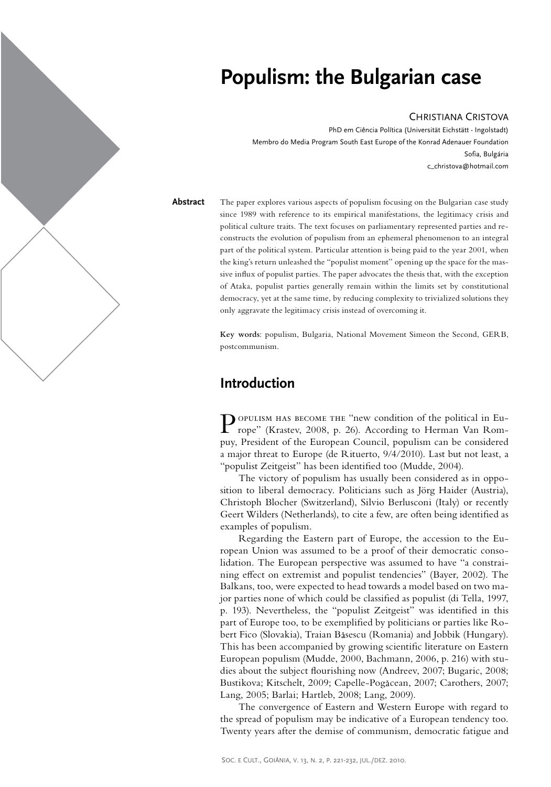

# **Populism: the Bulgarian case**

#### Christiana Cristova

PhD em Ciência Política (Universität Eichstätt - Ingolstadt) Membro do Media Program South East Europe of the Konrad Adenauer Foundation Sofia, Bulgária c\_christova@hotmail.com

The paper explores various aspects of populism focusing on the Bulgarian case study since 1989 with reference to its empirical manifestations, the legitimacy crisis and political culture traits. The text focuses on parliamentary represented parties and reconstructs the evolution of populism from an ephemeral phenomenon to an integral part of the political system. Particular attention is being paid to the year 2001, when the king's return unleashed the "populist moment" opening up the space for the massive influx of populist parties. The paper advocates the thesis that, with the exception of Ataka, populist parties generally remain within the limits set by constitutional democracy, yet at the same time, by reducing complexity to trivialized solutions they only aggravate the legitimacy crisis instead of overcoming it. **Abstract**

> **Key words**: populism, Bulgaria, National Movement Simeon the Second, GERB, postcommunism.

## **Introduction**

POPULISM HAS BECOME THE "new condition of the political in Europe" (Krastev, 2008, p. 26). According to Herman Van Rompuy, President of the European Council, populism can be considered a major threat to Europe (de Rituerto, 9/4/2010). Last but not least, a "populist Zeitgeist" has been identified too (Mudde, 2004).

The victory of populism has usually been considered as in opposition to liberal democracy. Politicians such as Jörg Haider (Austria), Christoph Blocher (Switzerland), Silvio Berlusconi (Italy) or recently Geert Wilders (Netherlands), to cite a few, are often being identified as examples of populism.

Regarding the Eastern part of Europe, the accession to the European Union was assumed to be a proof of their democratic consolidation. The European perspective was assumed to have "a constraining effect on extremist and populist tendencies" (Bayer, 2002). The Balkans, too, were expected to head towards a model based on two major parties none of which could be classified as populist (di Tella, 1997, p. 193). Nevertheless, the "populist Zeitgeist" was identified in this part of Europe too, to be exemplified by politicians or parties like Robert Fico (Slovakia), Traian Băsescu (Romania) and Jobbik (Hungary). This has been accompanied by growing scientific literature on Eastern European populism (Mudde, 2000, Bachmann, 2006, p. 216) with studies about the subject flourishing now (Andreev, 2007; Bugaric, 2008; Bustikova; Kitschelt, 2009; Capelle-Pogăcean, 2007; Carothers, 2007; Lang, 2005; Barlai; Hartleb, 2008; Lang, 2009).

The convergence of Eastern and Western Europe with regard to the spread of populism may be indicative of a European tendency too. Twenty years after the demise of communism, democratic fatigue and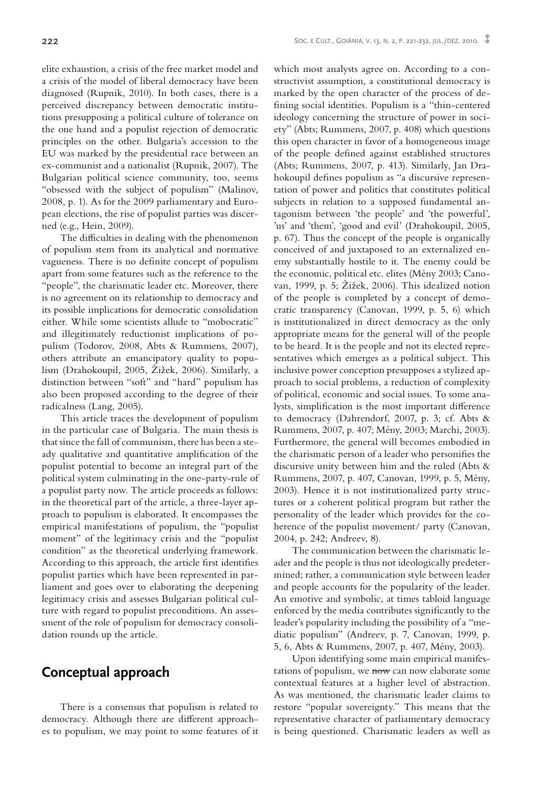elite exhaustion, a crisis of the free market model and a crisis of the model of liberal democracy have been diagnosed (Rupnik, 2010). In both cases, there is a perceived discrepancy between democratic institutions presupposing a political culture of tolerance on the one hand and a populist rejection of democratic principles on the other. Bulgaria's accession to the EU was marked by the presidential race between an ex-communist and a nationalist (Rupnik, 2007). The Bulgarian political science community, too, seems "obsessed with the subject of populism" (Malinov, 2008, p. 1). As for the 2009 parliamentary and European elections, the rise of populist parties was discerned (e.g., Hein, 2009).

The difficulties in dealing with the phenomenon of populism stem from its analytical and normative vagueness. There is no definite concept of populism apart from some features such as the reference to the "people", the charismatic leader etc. Moreover, there is no agreement on its relationship to democracy and its possible implications for democratic consolidation either. While some scientists allude to "mobocratic" and illegitimately reductionist implications of populism (Todorov, 2008, Abts & Rummens, 2007), others attribute an emancipatory quality to populism (Drahokoupil, 2005, Žižek, 2006). Similarly, a distinction between "soft" and "hard" populism has also been proposed according to the degree of their radicalness (Lang, 2005).

This article traces the development of populism in the particular case of Bulgaria. The main thesis is that since the fall of communism, there has been a steady qualitative and quantitative amplification of the populist potential to become an integral part of the political system culminating in the one-party-rule of a populist party now. The article proceeds as follows: in the theoretical part of the article, a three-layer approach to populism is elaborated. It encompasses the empirical manifestations of populism, the "populist moment" of the legitimacy crisis and the "populist condition" as the theoretical underlying framework. According to this approach, the article first identifies populist parties which have been represented in parliament and goes over to elaborating the deepening legitimacy crisis and assesses Bulgarian political culture with regard to populist preconditions. An assessment of the role of populism for democracy consolidation rounds up the article.

### **Conceptual approach**

There is a consensus that populism is related to democracy. Although there are different approaches to populism, we may point to some features of it which most analysts agree on. According to a constructivist assumption, a constitutional democracy is marked by the open character of the process of defining social identities. Populism is a "thin-centered ideology concerning the structure of power in society" (Abts; Rummens, 2007, p. 408) which questions this open character in favor of a homogeneous image of the people defined against established structures (Abts; Rummens, 2007, p. 413). Similarly, Jan Drahokoupil defines populism as "a discursive representation of power and politics that constitutes political subjects in relation to a supposed fundamental antagonism between 'the people' and 'the powerful', 'us' and 'them', 'good and evil' (Drahokoupil, 2005, p. 67). Thus the concept of the people is organically conceived of and juxtaposed to an externalized enemy substantially hostile to it. The enemy could be the economic, political etc. elites (Mény 2003; Canovan, 1999, p. 5; Žižek, 2006). This idealized notion of the people is completed by a concept of democratic transparency (Canovan, 1999, p. 5, 6) which is institutionalized in direct democracy as the only appropriate means for the general will of the people to be heard. It is the people and not its elected representatives which emerges as a political subject. This inclusive power conception presupposes a stylized approach to social problems, a reduction of complexity of political, economic and social issues. To some analysts, simplification is the most important difference to democracy (Dahrendorf, 2007, p. 3; cf. Abts & Rummens, 2007, p. 407; Mény, 2003; Marchi, 2003). Furthermore, the general will becomes embodied in the charismatic person of a leader who personifies the discursive unity between him and the ruled (Abts & Rummens, 2007, p. 407, Canovan, 1999, p. 5, Mény, 2003). Hence it is not institutionalized party structures or a coherent political program but rather the personality of the leader which provides for the coherence of the populist movement/ party (Canovan, 2004, p. 242; Andreev, 8).

The communication between the charismatic leader and the people is thus not ideologically predetermined; rather, a communication style between leader and people accounts for the popularity of the leader. An emotive and symbolic, at times tabloid language enforced by the media contributes significantly to the leader's popularity including the possibility of a "mediatic populism" (Andreev, p. 7, Canovan, 1999, p. 5, 6, Abts & Rummens, 2007, p. 407, Mény, 2003).

Upon identifying some main empirical manifestations of populism, we now can now elaborate some contextual features at a higher level of abstraction. As was mentioned, the charismatic leader claims to restore "popular sovereignty." This means that the representative character of parliamentary democracy is being questioned. Charismatic leaders as well as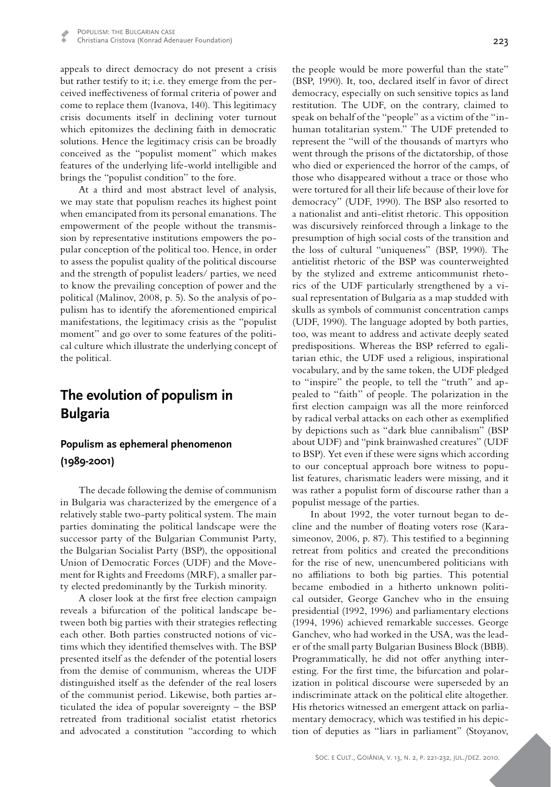appeals to direct democracy do not present a crisis but rather testify to it; i.e. they emerge from the perceived ineffectiveness of formal criteria of power and come to replace them (Ivanova, 140). This legitimacy crisis documents itself in declining voter turnout which epitomizes the declining faith in democratic solutions. Hence the legitimacy crisis can be broadly conceived as the "populist moment" which makes features of the underlying life-world intelligible and brings the "populist condition" to the fore.

At a third and most abstract level of analysis, we may state that populism reaches its highest point when emancipated from its personal emanations. The empowerment of the people without the transmission by representative institutions empowers the popular conception of the political too. Hence, in order to assess the populist quality of the political discourse and the strength of populist leaders/ parties, we need to know the prevailing conception of power and the political (Malinov, 2008, p. 5). So the analysis of populism has to identify the aforementioned empirical manifestations, the legitimacy crisis as the "populist moment" and go over to some features of the political culture which illustrate the underlying concept of the political.

# **The evolution of populism in Bulgaria**

### **Populism as ephemeral phenomenon (1989-2001)**

The decade following the demise of communism in Bulgaria was characterized by the emergence of a relatively stable two-party political system. The main parties dominating the political landscape were the successor party of the Bulgarian Communist Party, the Bulgarian Socialist Party (BSP), the oppositional Union of Democratic Forces (UDF) and the Movement for Rights and Freedoms (MRF), a smaller party elected predominantly by the Turkish minority.

A closer look at the first free election campaign reveals a bifurcation of the political landscape between both big parties with their strategies reflecting each other. Both parties constructed notions of victims which they identified themselves with. The BSP presented itself as the defender of the potential losers from the demise of communism, whereas the UDF distinguished itself as the defender of the real losers of the communist period. Likewise, both parties articulated the idea of popular sovereignty – the BSP retreated from traditional socialist etatist rhetorics and advocated a constitution "according to which

the people would be more powerful than the state" (BSP, 1990). It, too, declared itself in favor of direct democracy, especially on such sensitive topics as land restitution. The UDF, on the contrary, claimed to speak on behalf of the "people" as a victim of the "inhuman totalitarian system." The UDF pretended to represent the "will of the thousands of martyrs who went through the prisons of the dictatorship, of those who died or experienced the horror of the camps, of those who disappeared without a trace or those who were tortured for all their life because of their love for democracy" (UDF, 1990). The BSP also resorted to a nationalist and anti-elitist rhetoric. This opposition was discursively reinforced through a linkage to the presumption of high social costs of the transition and the loss of cultural "uniqueness" (BSP, 1990). The antielitist rhetoric of the BSP was counterweighted by the stylized and extreme anticommunist rhetorics of the UDF particularly strengthened by a visual representation of Bulgaria as a map studded with skulls as symbols of communist concentration camps (UDF, 1990). The language adopted by both parties, too, was meant to address and activate deeply seated predispositions. Whereas the BSP referred to egalitarian ethic, the UDF used a religious, inspirational vocabulary, and by the same token, the UDF pledged to "inspire" the people, to tell the "truth" and appealed to "faith" of people. The polarization in the first election campaign was all the more reinforced by radical verbal attacks on each other as exemplified by depictions such as "dark blue cannibalism" (BSP about UDF) and "pink brainwashed creatures" (UDF to BSP). Yet even if these were signs which according to our conceptual approach bore witness to populist features, charismatic leaders were missing, and it was rather a populist form of discourse rather than a populist message of the parties.

In about 1992, the voter turnout began to decline and the number of floating voters rose (Karasimeonov, 2006, p. 87). This testified to a beginning retreat from politics and created the preconditions for the rise of new, unencumbered politicians with no affiliations to both big parties. This potential became embodied in a hitherto unknown political outsider, George Ganchev who in the ensuing presidential (1992, 1996) and parliamentary elections (1994, 1996) achieved remarkable successes. George Ganchev, who had worked in the USA, was the leader of the small party Bulgarian Business Block (BBB). Programmatically, he did not offer anything interesting. For the first time, the bifurcation and polarization in political discourse were superseded by an indiscriminate attack on the political elite altogether. His rhetorics witnessed an emergent attack on parliamentary democracy, which was testified in his depiction of deputies as "liars in parliament" (Stoyanov,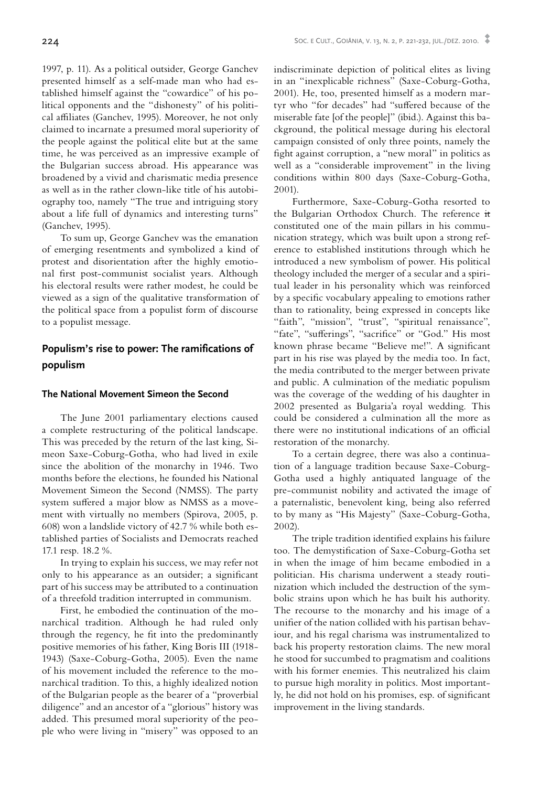1997, p. 11). As a political outsider, George Ganchev presented himself as a self-made man who had established himself against the "cowardice" of his political opponents and the "dishonesty" of his political affiliates (Ganchev, 1995). Moreover, he not only claimed to incarnate a presumed moral superiority of the people against the political elite but at the same time, he was perceived as an impressive example of the Bulgarian success abroad. His appearance was broadened by a vivid and charismatic media presence as well as in the rather clown-like title of his autobiography too, namely "The true and intriguing story about a life full of dynamics and interesting turns" (Ganchev, 1995).

To sum up, George Ganchev was the emanation of emerging resentments and symbolized a kind of protest and disorientation after the highly emotional first post-communist socialist years. Although his electoral results were rather modest, he could be viewed as a sign of the qualitative transformation of the political space from a populist form of discourse to a populist message.

### **Populism's rise to power: The ramifications of populism**

#### **The National Movement Simeon the Second**

The June 2001 parliamentary elections caused a complete restructuring of the political landscape. This was preceded by the return of the last king, Simeon Saxe-Coburg-Gotha, who had lived in exile since the abolition of the monarchy in 1946. Two months before the elections, he founded his National Movement Simeon the Second (NMSS). The party system suffered a major blow as NMSS as a movement with virtually no members (Spirova, 2005, p. 608) won a landslide victory of 42.7 % while both established parties of Socialists and Democrats reached 17.1 resp. 18.2 %.

In trying to explain his success, we may refer not only to his appearance as an outsider; a significant part of his success may be attributed to a continuation of a threefold tradition interrupted in communism.

First, he embodied the continuation of the monarchical tradition. Although he had ruled only through the regency, he fit into the predominantly positive memories of his father, King Boris III (1918- 1943) (Saxe-Coburg-Gotha, 2005). Even the name of his movement included the reference to the monarchical tradition. To this, a highly idealized notion of the Bulgarian people as the bearer of a "proverbial diligence" and an ancestor of a "glorious" history was added. This presumed moral superiority of the people who were living in "misery" was opposed to an indiscriminate depiction of political elites as living in an "inexplicable richness" (Saxe-Coburg-Gotha, 2001). He, too, presented himself as a modern martyr who "for decades" had "suffered because of the miserable fate [of the people]" (ibid.). Against this background, the political message during his electoral campaign consisted of only three points, namely the fight against corruption, a "new moral" in politics as well as a "considerable improvement" in the living conditions within 800 days (Saxe-Coburg-Gotha, 2001).

Furthermore, Saxe-Coburg-Gotha resorted to the Bulgarian Orthodox Church. The reference it constituted one of the main pillars in his communication strategy, which was built upon a strong reference to established institutions through which he introduced a new symbolism of power. His political theology included the merger of a secular and a spiritual leader in his personality which was reinforced by a specific vocabulary appealing to emotions rather than to rationality, being expressed in concepts like "faith", "mission", "trust", "spiritual renaissance", "fate", "sufferings", "sacrifice" or "God." His most known phrase became "Believe me!". A significant part in his rise was played by the media too. In fact, the media contributed to the merger between private and public. A culmination of the mediatic populism was the coverage of the wedding of his daughter in 2002 presented as Bulgaria'a royal wedding. This could be considered a culmination all the more as there were no institutional indications of an official restoration of the monarchy.

To a certain degree, there was also a continuation of a language tradition because Saxe-Coburg-Gotha used a highly antiquated language of the pre-communist nobility and activated the image of a paternalistic, benevolent king, being also referred to by many as "His Majesty" (Saxe-Coburg-Gotha, 2002).

The triple tradition identified explains his failure too. The demystification of Saxe-Coburg-Gotha set in when the image of him became embodied in a politician. His charisma underwent a steady routinization which included the destruction of the symbolic strains upon which he has built his authority. The recourse to the monarchy and his image of a unifier of the nation collided with his partisan behaviour, and his regal charisma was instrumentalized to back his property restoration claims. The new moral he stood for succumbed to pragmatism and coalitions with his former enemies. This neutralized his claim to pursue high morality in politics. Most importantly, he did not hold on his promises, esp. of significant improvement in the living standards.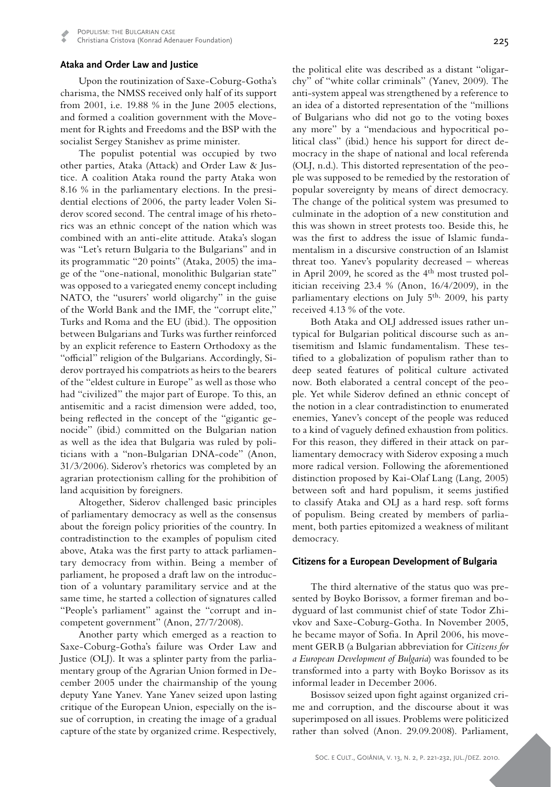Christiana Cristova (Konrad Adenauer Foundation)

#### **Ataka and Order Law and Justice**

Upon the routinization of Saxe-Coburg-Gotha's charisma, the NMSS received only half of its support from 2001, i.e. 19.88 % in the June 2005 elections, and formed a coalition government with the Movement for Rights and Freedoms and the BSP with the socialist Sergey Stanishev as prime minister.

The populist potential was occupied by two other parties, Ataka (Attack) and Order Law & Justice. A coalition Ataka round the party Ataka won 8.16 % in the parliamentary elections. In the presidential elections of 2006, the party leader Volen Siderov scored second. The central image of his rhetorics was an ethnic concept of the nation which was combined with an anti-elite attitude. Ataka's slogan was "Let's return Bulgaria to the Bulgarians" and in its programmatic "20 points" (Ataka, 2005) the image of the "one-national, monolithic Bulgarian state" was opposed to a variegated enemy concept including NATO, the "usurers' world oligarchy" in the guise of the World Bank and the IMF, the "corrupt elite," Turks and Roma and the EU (ibid.). The opposition between Bulgarians and Turks was further reinforced by an explicit reference to Eastern Orthodoxy as the "official" religion of the Bulgarians. Accordingly, Siderov portrayed his compatriots as heirs to the bearers of the "eldest culture in Europe" as well as those who had "civilized" the major part of Europe. To this, an antisemitic and a racist dimension were added, too, being reflected in the concept of the "gigantic genocide" (ibid.) committed on the Bulgarian nation as well as the idea that Bulgaria was ruled by politicians with a "non-Bulgarian DNA-code" (Anon, 31/3/2006). Siderov's rhetorics was completed by an agrarian protectionism calling for the prohibition of land acquisition by foreigners.

Altogether, Siderov challenged basic principles of parliamentary democracy as well as the consensus about the foreign policy priorities of the country. In contradistinction to the examples of populism cited above, Ataka was the first party to attack parliamentary democracy from within. Being a member of parliament, he proposed a draft law on the introduction of a voluntary paramilitary service and at the same time, he started a collection of signatures called "People's parliament" against the "corrupt and incompetent government" (Anon, 27/7/2008).

Another party which emerged as a reaction to Saxe-Coburg-Gotha's failure was Order Law and Justice (OLJ). It was a splinter party from the parliamentary group of the Agrarian Union formed in December 2005 under the chairmanship of the young deputy Yane Yanev. Yane Yanev seized upon lasting critique of the European Union, especially on the issue of corruption, in creating the image of a gradual capture of the state by organized crime. Respectively,

the political elite was described as a distant "oligarchy" of "white collar criminals" (Yanev, 2009). The anti-system appeal was strengthened by a reference to an idea of a distorted representation of the "millions of Bulgarians who did not go to the voting boxes any more" by a "mendacious and hypocritical political class" (ibid.) hence his support for direct democracy in the shape of national and local referenda (OLJ, n.d.). This distorted representation of the people was supposed to be remedied by the restoration of popular sovereignty by means of direct democracy. The change of the political system was presumed to culminate in the adoption of a new constitution and this was shown in street protests too. Beside this, he was the first to address the issue of Islamic fundamentalism in a discursive construction of an Islamist threat too. Yanev's popularity decreased – whereas in April 2009, he scored as the  $4<sup>th</sup>$  most trusted politician receiving 23.4 % (Anon, 16/4/2009), in the parliamentary elections on July  $5<sup>th</sup>$ , 2009, his party received 4.13 % of the vote.

Both Ataka and OLJ addressed issues rather untypical for Bulgarian political discourse such as antisemitism and Islamic fundamentalism. These testified to a globalization of populism rather than to deep seated features of political culture activated now. Both elaborated a central concept of the people. Yet while Siderov defined an ethnic concept of the notion in a clear contradistinction to enumerated enemies, Yanev's concept of the people was reduced to a kind of vaguely defined exhaustion from politics*.* For this reason, they differed in their attack on parliamentary democracy with Siderov exposing a much more radical version. Following the aforementioned distinction proposed by Kai-Olaf Lang (Lang, 2005) between soft and hard populism, it seems justified to classify Ataka and OLJ as a hard resp. soft forms of populism. Being created by members of parliament, both parties epitomized a weakness of militant democracy.

#### **Citizens for a European Development of Bulgaria**

The third alternative of the status quo was presented by Boyko Borissov, a former fireman and bodyguard of last communist chief of state Todor Zhivkov and Saxe-Coburg-Gotha. In November 2005, he became mayor of Sofia. In April 2006, his movement GERB (a Bulgarian abbreviation for *Citizens for a European Development of Bulgaria*) was founded to be transformed into a party with Boyko Borissov as its informal leader in December 2006.

Bosissov seized upon fight against organized crime and corruption, and the discourse about it was superimposed on all issues. Problems were politicized rather than solved (Anon. 29.09.2008). Parliament,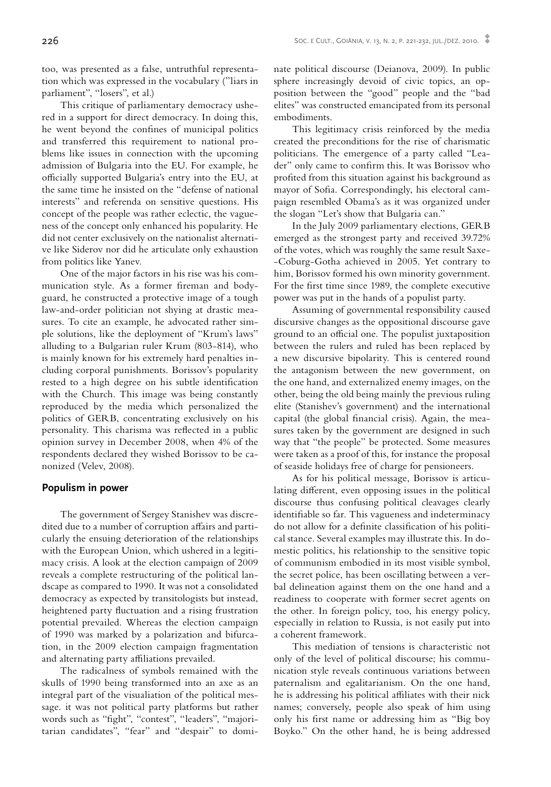too, was presented as a false, untruthful representation which was expressed in the vocabulary ("liars in parliament", "losers", et al.)

This critique of parliamentary democracy ushered in a support for direct democracy. In doing this, he went beyond the confines of municipal politics and transferred this requirement to national problems like issues in connection with the upcoming admission of Bulgaria into the EU. For example, he officially supported Bulgaria's entry into the EU, at the same time he insisted on the "defense of national interests" and referenda on sensitive questions. His concept of the people was rather eclectic, the vagueness of the concept only enhanced his popularity. He did not center exclusively on the nationalist alternative like Siderov nor did he articulate only exhaustion from politics like Yanev.

One of the major factors in his rise was his communication style. As a former fireman and bodyguard, he constructed a protective image of a tough law-and-order politician not shying at drastic measures. To cite an example, he advocated rather simple solutions, like the deployment of "Krum's laws" alluding to a Bulgarian ruler Krum (803-814), who is mainly known for his extremely hard penalties including corporal punishments. Borissov's popularity rested to a high degree on his subtle identification with the Church. This image was being constantly reproduced by the media which personalized the politics of GERB, concentrating exclusively on his personality. This charisma was reflected in a public opinion survey in December 2008, when 4% of the respondents declared they wished Borissov to be canonized (Velev, 2008).

#### **Populism in power**

The government of Sergey Stanishev was discredited due to a number of corruption affairs and particularly the ensuing deterioration of the relationships with the European Union, which ushered in a legitimacy crisis. A look at the election campaign of 2009 reveals a complete restructuring of the political landscape as compared to 1990. It was not a consolidated democracy as expected by transitologists but instead, heightened party fluctuation and a rising frustration potential prevailed. Whereas the election campaign of 1990 was marked by a polarization and bifurcation, in the 2009 election campaign fragmentation and alternating party affiliations prevailed.

The radicalness of symbols remained with the skulls of 1990 being transformed into an axe as an integral part of the visualiation of the political message. it was not political party platforms but rather words such as "fight", "contest", "leaders", "majoritarian candidates", "fear" and "despair" to dominate political discourse (Deianova, 2009). In public sphere increasingly devoid of civic topics, an opposition between the "good" people and the "bad elites" was constructed emancipated from its personal embodiments.

This legitimacy crisis reinforced by the media created the preconditions for the rise of charismatic politicians. The emergence of a party called "Leader" only came to confirm this. It was Borissov who profited from this situation against his background as mayor of Sofia. Correspondingly, his electoral campaign resembled Obama's as it was organized under the slogan "Let's show that Bulgaria can."

In the July 2009 parliamentary elections, GERB emerged as the strongest party and received 39.72% of the votes, which was roughly the same result Saxe- -Coburg-Gotha achieved in 2005. Yet contrary to him, Borissov formed his own minority government. For the first time since 1989, the complete executive power was put in the hands of a populist party.

Assuming of governmental responsibility caused discursive changes as the oppositional discourse gave ground to an official one. The populist juxtaposition between the rulers and ruled has been replaced by a new discursive bipolarity. This is centered round the antagonism between the new government, on the one hand, and externalized enemy images, on the other, being the old being mainly the previous ruling elite (Stanishev's government) and the international capital (the global financial crisis). Again, the measures taken by the government are designed in such way that "the people" be protected. Some measures were taken as a proof of this, for instance the proposal of seaside holidays free of charge for pensioneers.

As for his political message, Borissov is articulating different, even opposing issues in the political discourse thus confusing political cleavages clearly identifiable so far. This vagueness and indeterminacy do not allow for a definite classification of his political stance. Several examples may illustrate this. In domestic politics, his relationship to the sensitive topic of communism embodied in its most visible symbol, the secret police, has been oscillating between a verbal delineation against them on the one hand and a readiness to cooperate with former secret agents on the other. In foreign policy, too, his energy policy, especially in relation to Russia, is not easily put into a coherent framework.

This mediation of tensions is characteristic not only of the level of political discourse; his communication style reveals continuous variations between paternalism and egalitarianism. On the one hand, he is addressing his political affiliates with their nick names; conversely, people also speak of him using only his first name or addressing him as "Big boy Boyko." On the other hand, he is being addressed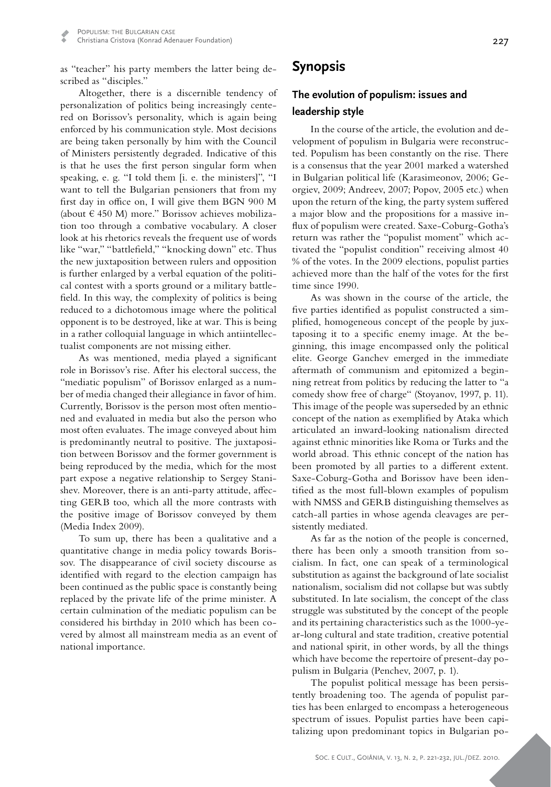as "teacher" his party members the latter being described as "disciples."

Altogether, there is a discernible tendency of personalization of politics being increasingly centered on Borissov's personality, which is again being enforced by his communication style. Most decisions are being taken personally by him with the Council of Ministers persistently degraded. Indicative of this is that he uses the first person singular form when speaking, e. g. "I told them [i. e. the ministers]", "I want to tell the Bulgarian pensioners that from my first day in office on, I will give them BGN 900 M (about  $\in$  450 M) more." Borissov achieves mobilization too through a combative vocabulary. A closer look at his rhetorics reveals the frequent use of words like "war," "battlefield," "knocking down" etc. Thus the new juxtaposition between rulers and opposition is further enlarged by a verbal equation of the political contest with a sports ground or a military battlefield. In this way, the complexity of politics is being reduced to a dichotomous image where the political opponent is to be destroyed, like at war. This is being in a rather colloquial language in which antiintellectualist components are not missing either.

As was mentioned, media played a significant role in Borissov's rise. After his electoral success, the "mediatic populism" of Borissov enlarged as a number of media changed their allegiance in favor of him. Currently, Borissov is the person most often mentioned and evaluated in media but also the person who most often evaluates. The image conveyed about him is predominantly neutral to positive. The juxtaposition between Borissov and the former government is being reproduced by the media, which for the most part expose a negative relationship to Sergey Stanishev. Moreover, there is an anti-party attitude, affecting GERB too, which all the more contrasts with the positive image of Borissov conveyed by them (Media Index 2009).

To sum up, there has been a qualitative and a quantitative change in media policy towards Borissov. The disappearance of civil society discourse as identified with regard to the election campaign has been continued as the public space is constantly being replaced by the private life of the prime minister. A certain culmination of the mediatic populism can be considered his birthday in 2010 which has been covered by almost all mainstream media as an event of national importance.

### **The evolution of populism: issues and leadership style**

In the course of the article, the evolution and development of populism in Bulgaria were reconstructed. Populism has been constantly on the rise. There is a consensus that the year 2001 marked a watershed in Bulgarian political life (Karasimeonov, 2006; Georgiev, 2009; Andreev, 2007; Popov, 2005 etc.) when upon the return of the king, the party system suffered a major blow and the propositions for a massive influx of populism were created. Saxe-Coburg-Gotha's return was rather the "populist moment" which activated the "populist condition" receiving almost 40 % of the votes. In the 2009 elections, populist parties achieved more than the half of the votes for the first time since 1990.

As was shown in the course of the article, the five parties identified as populist constructed a simplified, homogeneous concept of the people by juxtaposing it to a specific enemy image. At the beginning, this image encompassed only the political elite. George Ganchev emerged in the immediate aftermath of communism and epitomized a beginning retreat from politics by reducing the latter to "a comedy show free of charge" (Stoyanov, 1997, p. 11). This image of the people was superseded by an ethnic concept of the nation as exemplified by Ataka which articulated an inward-looking nationalism directed against ethnic minorities like Roma or Turks and the world abroad. This ethnic concept of the nation has been promoted by all parties to a different extent. Saxe-Coburg-Gotha and Borissov have been identified as the most full-blown examples of populism with NMSS and GERB distinguishing themselves as catch-all parties in whose agenda cleavages are persistently mediated.

As far as the notion of the people is concerned, there has been only a smooth transition from socialism. In fact, one can speak of a terminological substitution as against the background of late socialist nationalism, socialism did not collapse but was subtly substituted. In late socialism, the concept of the class struggle was substituted by the concept of the people and its pertaining characteristics such as the 1000-year-long cultural and state tradition, creative potential and national spirit, in other words, by all the things which have become the repertoire of present-day populism in Bulgaria (Penchev, 2007, p. 1).

The populist political message has been persistently broadening too. The agenda of populist parties has been enlarged to encompass a heterogeneous spectrum of issues. Populist parties have been capitalizing upon predominant topics in Bulgarian po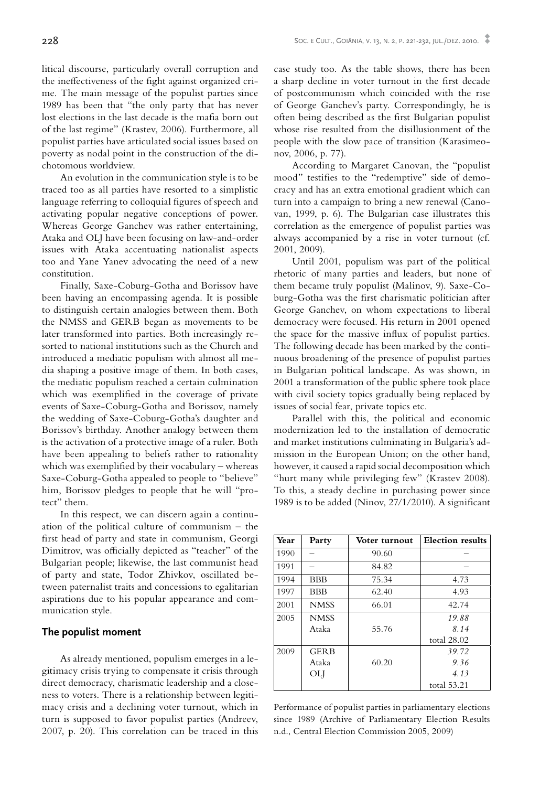litical discourse, particularly overall corruption and the ineffectiveness of the fight against organized crime. The main message of the populist parties since 1989 has been that "the only party that has never lost elections in the last decade is the mafia born out of the last regime" (Krastev, 2006). Furthermore, all populist parties have articulated social issues based on poverty as nodal point in the construction of the dichotomous worldview.

An evolution in the communication style is to be traced too as all parties have resorted to a simplistic language referring to colloquial figures of speech and activating popular negative conceptions of power. Whereas George Ganchev was rather entertaining, Ataka and OLJ have been focusing on law-and-order issues with Ataka accentuating nationalist aspects too and Yane Yanev advocating the need of a new constitution.

Finally, Saxe-Coburg-Gotha and Borissov have been having an encompassing agenda. It is possible to distinguish certain analogies between them. Both the NMSS and GERB began as movements to be later transformed into parties. Both increasingly resorted to national institutions such as the Church and introduced a mediatic populism with almost all media shaping a positive image of them. In both cases, the mediatic populism reached a certain culmination which was exemplified in the coverage of private events of Saxe-Coburg-Gotha and Borissov, namely the wedding of Saxe-Coburg-Gotha's daughter and Borissov's birthday. Another analogy between them is the activation of a protective image of a ruler. Both have been appealing to beliefs rather to rationality which was exemplified by their vocabulary – whereas Saxe-Coburg-Gotha appealed to people to "believe" him, Borissov pledges to people that he will "protect" them.

In this respect, we can discern again a continuation of the political culture of communism – the first head of party and state in communism, Georgi Dimitrov, was officially depicted as "teacher" of the Bulgarian people; likewise, the last communist head of party and state, Todor Zhivkov, oscillated between paternalist traits and concessions to egalitarian aspirations due to his popular appearance and communication style.

#### **The populist moment**

As already mentioned, populism emerges in a legitimacy crisis trying to compensate it crisis through direct democracy, charismatic leadership and a closeness to voters. There is a relationship between legitimacy crisis and a declining voter turnout, which in turn is supposed to favor populist parties (Andreev, 2007, p. 20). This correlation can be traced in this

case study too. As the table shows, there has been a sharp decline in voter turnout in the first decade of postcommunism which coincided with the rise of George Ganchev's party. Correspondingly, he is often being described as the first Bulgarian populist whose rise resulted from the disillusionment of the people with the slow pace of transition (Karasimeonov, 2006, p. 77).

According to Margaret Canovan, the "populist mood" testifies to the "redemptive" side of democracy and has an extra emotional gradient which can turn into a campaign to bring a new renewal (Canovan, 1999, p. 6). The Bulgarian case illustrates this correlation as the emergence of populist parties was always accompanied by a rise in voter turnout (cf. 2001, 2009).

Until 2001, populism was part of the political rhetoric of many parties and leaders, but none of them became truly populist (Malinov, 9). Saxe-Coburg-Gotha was the first charismatic politician after George Ganchev, on whom expectations to liberal democracy were focused. His return in 2001 opened the space for the massive influx of populist parties. The following decade has been marked by the continuous broadening of the presence of populist parties in Bulgarian political landscape. As was shown, in 2001 a transformation of the public sphere took place with civil society topics gradually being replaced by issues of social fear, private topics etc.

Parallel with this, the political and economic modernization led to the installation of democratic and market institutions culminating in Bulgaria's admission in the European Union; on the other hand, however, it caused a rapid social decomposition which "hurt many while privileging few" (Krastev 2008). To this, a steady decline in purchasing power since 1989 is to be added (Ninov, 27/1/2010). A significant

| Year | Party       | Voter turnout | <b>Election</b> results |
|------|-------------|---------------|-------------------------|
| 1990 |             | 90.60         |                         |
| 1991 |             | 84.82         |                         |
| 1994 | <b>BBB</b>  | 75.34         | 4.73                    |
| 1997 | <b>BBB</b>  | 62.40         | 4.93                    |
| 2001 | <b>NMSS</b> | 66.01         | 42.74                   |
| 2005 | <b>NMSS</b> |               | 19.88                   |
|      | Ataka       | 55.76         | 8.14                    |
|      |             |               | total 28.02             |
| 2009 | <b>GERB</b> |               | 39.72                   |
|      | Ataka       | 60.20         | 9.36                    |
|      | OLI         |               | 4.13                    |
|      |             |               | total 53.21             |

Performance of populist parties in parliamentary elections since 1989 (Archive of Parliamentary Election Results n.d., Central Election Commission 2005, 2009)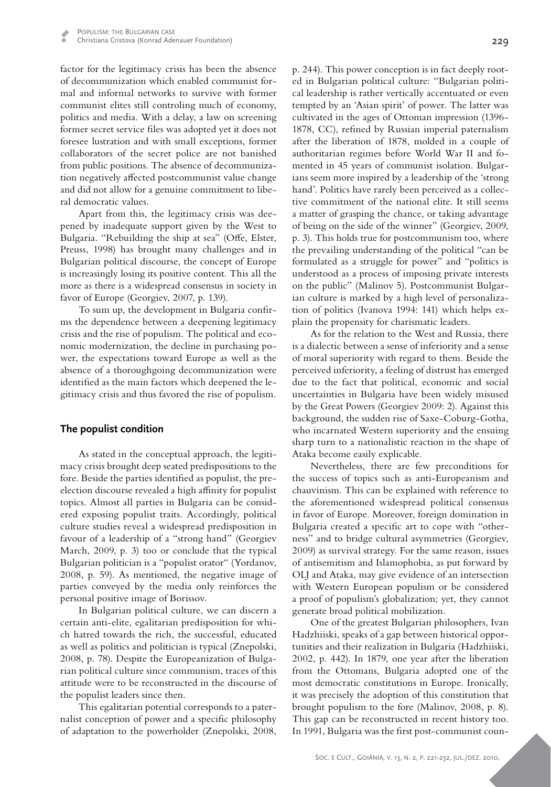factor for the legitimacy crisis has been the absence of decommunization which enabled communist formal and informal networks to survive with former communist elites still controling much of economy, politics and media. With a delay, a law on screening former secret service files was adopted yet it does not foresee lustration and with small exceptions, former collaborators of the secret police are not banished from public positions. The absence of decommunization negatively affected postcommunist value change and did not allow for a genuine commitment to liberal democratic values.

Apart from this, the legitimacy crisis was deepened by inadequate support given by the West to Bulgaria. "Rebuilding the ship at sea" (Offe, Elster, Preuss, 1998) has brought many challenges and in Bulgarian political discourse, the concept of Europe is increasingly losing its positive content. This all the more as there is a widespread consensus in society in favor of Europe (Georgiev, 2007, p. 139).

To sum up, the development in Bulgaria confirms the dependence between a deepening legitimacy crisis and the rise of populism. The political and economic modernization, the decline in purchasing power, the expectations toward Europe as well as the absence of a thoroughgoing decommunization were identified as the main factors which deepened the legitimacy crisis and thus favored the rise of populism.

#### **The populist condition**

As stated in the conceptual approach, the legitimacy crisis brought deep seated predispositions to the fore. Beside the parties identified as populist, the preelection discourse revealed a high affinity for populist topics. Almost all parties in Bulgaria can be considered exposing populist traits. Accordingly, political culture studies reveal a widespread predisposition in favour of a leadership of a "strong hand" (Georgiev March, 2009, p. 3) too or conclude that the typical Bulgarian politician is a "populist orator" (Yordanov, 2008, p. 59). As mentioned, the negative image of parties conveyed by the media only reinforces the personal positive image of Borissov.

In Bulgarian political culture, we can discern a certain anti-elite, egalitarian predisposition for which hatred towards the rich, the successful, educated as well as politics and politician is typical (Znepolski, 2008, p. 78). Despite the Europeanization of Bulgarian political culture since communism, traces of this attitude were to be reconstructed in the discourse of the populist leaders since then.

This egalitarian potential corresponds to a paternalist conception of power and a specific philosophy of adaptation to the powerholder (Znepolski, 2008,

229

ed in Bulgarian political culture: "Bulgarian political leadership is rather vertically accentuated or even tempted by an 'Asian spirit' of power. The latter was cultivated in the ages of Ottoman impression (1396- 1878, CC), refined by Russian imperial paternalism after the liberation of 1878, molded in a couple of authoritarian regimes before World War II and fomented in 45 years of communist isolation. Bulgarians seem more inspired by a leadership of the 'strong hand'. Politics have rarely been perceived as a collective commitment of the national elite. It still seems a matter of grasping the chance, or taking advantage of being on the side of the winner" (Georgiev, 2009, p. 3). This holds true for postcommunism too, where the prevailing understanding of the political "can be formulated as a struggle for power" and "politics is understood as a process of imposing private interests on the public" (Malinov 5). Postcommunist Bulgarian culture is marked by a high level of personalization of politics (Ivanova 1994: 141) which helps explain the propensity for charismatic leaders.

As for the relation to the West and Russia, there is a dialectic between a sense of inferiority and a sense of moral superiority with regard to them. Beside the perceived inferiority, a feeling of distrust has emerged due to the fact that political, economic and social uncertainties in Bulgaria have been widely misused by the Great Powers (Georgiev 2009: 2). Against this background, the sudden rise of Saxe-Coburg-Gotha, who incarnated Western superiority and the ensuing sharp turn to a nationalistic reaction in the shape of Ataka become easily explicable.

Nevertheless, there are few preconditions for the success of topics such as anti-Europeanism and chauvinism. This can be explained with reference to the aforementioned widespread political consensus in favor of Europe. Moreover, foreign domination in Bulgaria created a specific art to cope with "otherness" and to bridge cultural asymmetries (Georgiev, 2009) as survival strategy. For the same reason, issues of antisemitism and Islamophobia, as put forward by OLJ and Ataka, may give evidence of an intersection with Western European populism or be considered a proof of populism's globalization; yet, they cannot generate broad political mobilization.

One of the greatest Bulgarian philosophers, Ivan Hadzhiiski, speaks of a gap between historical opportunities and their realization in Bulgaria (Hadzhiiski, 2002, p. 442). In 1879, one year after the liberation from the Ottomans, Bulgaria adopted one of the most democratic constitutions in Europe. Ironically, it was precisely the adoption of this constitution that brought populism to the fore (Malinov, 2008, p. 8). This gap can be reconstructed in recent history too. In 1991, Bulgaria was the first post-communist coun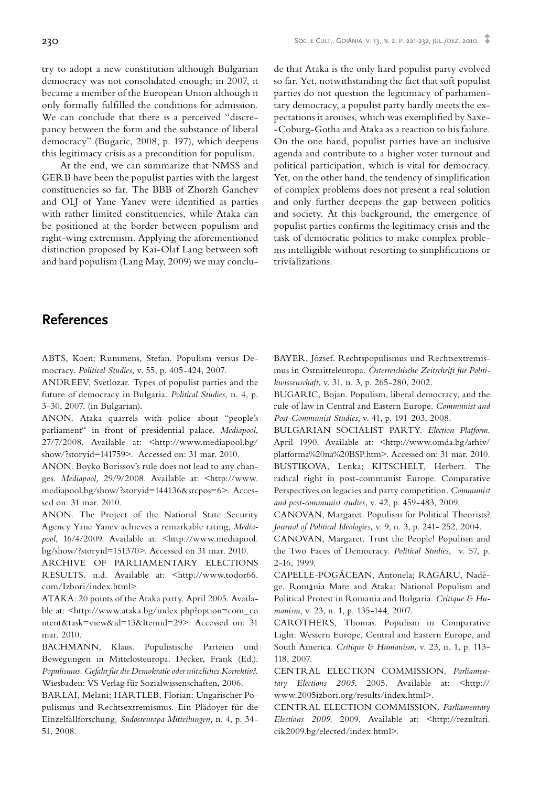try to adopt a new constitution although Bulgarian democracy was not consolidated enough; in 2007, it became a member of the European Union although it only formally fulfilled the conditions for admission. We can conclude that there is a perceived "discrepancy between the form and the substance of liberal democracy" (Bugaric, 2008, p. 197), which deepens this legitimacy crisis as a precondition for populism.

At the end, we can summarize that NMSS and GERB have been the populist parties with the largest constituencies so far. The BBB of Zhorzh Ganchev and OLJ of Yane Yanev were identified as parties with rather limited constituencies, while Ataka can be positioned at the border between populism and right-wing extremism. Applying the aforementioned distinction proposed by Kai-Olaf Lang between soft and hard populism (Lang May, 2009) we may conclude that Ataka is the only hard populist party evolved so far. Yet, notwithstanding the fact that soft populist parties do not question the legitimacy of parliamentary democracy, a populist party hardly meets the expectations it arouses, which was exemplified by Saxe- -Coburg-Gotha and Ataka as a reaction to his failure. On the one hand, populist parties have an inclusive agenda and contribute to a higher voter turnout and political participation, which is vital for democracy. Yet, on the other hand, the tendency of simplification of complex problems does not present a real solution and only further deepens the gap between politics and society. At this background, the emergence of populist parties confirms the legitimacy crisis and the task of democratic politics to make complex problems intelligible without resorting to simplifications or trivializations.

## **References**

ABTS, Koen; Rummens, Stefan. Populism versus Democracy. *Political Studies*, v. 55, p. 405-424, 2007.

ANDREEV, Svetlozar. Types of populist parties and the future of democracy in Bulgaria. *Political Studies*, n. 4, p. 3-30, 2007. (in Bulgarian).

ANON. Ataka quarrels with police about "people's parliament" in front of presidential palace. *Mediapool*, 27/7/2008. Available at: <http://www.mediapool.bg/ show/?storyid=141759>. Accessed on: 31 mar. 2010.

ANON. Boyko Borissov's rule does not lead to any changes. *Mediapool,* 29/9/2008. Available at: <http://www. mediapool.bg/show/?storyid=144136&srcpos=6>. Accessed on: 31 mar. 2010.

ANON. The Project of the National State Security Agency Yane Yanev achieves a remarkable rating, *Mediapool*, 16/4/2009. Available at: <http://www.mediapool. bg/show/?storyid=151370>. Accessed on 31 mar. 2010.

Archive of Parliamentary Elections RESULTS. n.d. Available at: <http://www.todor66. com/Izbori/index.html>.

ATAKA: 20 points of the Ataka party. April 2005. Available at: <http://www.ataka.bg/index.php?option=com\_co ntent&task=view&id=13&Itemid=29>. Accessed on: 31 mar. 2010.

BACHMANN, Klaus. Populistische Parteien und Bewegungen in Mittelosteuropa. Decker, Frank (Ed.). *Populismus. Gefahr für die Demokratie oder nützliches Korrektiv?.* Wiesbaden: VS Verlag für Sozialwissenschaften, 2006.

BARLAI, Melani; HARTLEB, Florian: Ungarischer Populismus und Rechtsextremismus. Ein Plädoyer für die Einzelfallforschung*, Südosteuropa Mitteilungen,* n. 4, p. 34- 51, 2008.

Bayer, József. Rechtspopulismus und Rechtsextremismus in Ostmitteleuropa. *Österreichische Zeitschrift für Politikwissenschaft*, v. 31, n. 3, p. 265-280, 2002.

BUGARIC, Bojan. Populism, liberal democracy, and the rule of law in Central and Eastern Europe. *Communist and Post-Communist Studies*, v. 41, p. 191-203, 2008.

Bulgarian Socialist Party. *Election Platform*. April 1990. Available at: <http://www.omda.bg/arhiv/ platforma%20na%20BSP.htm>. Accessed on: 31 mar. 2010. BUSTIKOVA, Lenka; KITSCHELT, Herbert. The radical right in post-communist Europe. Comparative Perspectives on legacies and party competition. *Communist and post-communist studies*, v. 42, p. 459-483, 2009.

CANOVAN, Margaret. Populism for Political Theorists? *Journal of Political Ideologies,* v. 9, n. 3, p. 241- 252, 2004.

CANOVAN, Margaret. Trust the People! Populism and the Two Faces of Democracy. *Political Studies*, v. 57, p. 2-16, 1999.

CAPELLE-POGĂCEAN, Antonela; RAGARU, Nadége. Romănia Mare and Ataka: National Populism and Political Protest in Romania and Bulgaria. *Critique & Humanism*, v. 23, n. 1, p. 135-144, 2007.

CAROTHERS, Thomas. Populism in Comparative Light: Western Europe, Central and Eastern Europe, and South America. *Critique & Humanism*, v. 23, n. 1, p. 113- 118, 2007.

Central Election Commission. *Parliamentary Elections 2005*. 2005. Available at: <http:// www.2005izbori.org/results/index.html>.

Central Election Commission. *Parliamentary Elections 2009*. 2009. Available at: <http://rezultati. cik2009.bg/elected/index.html>.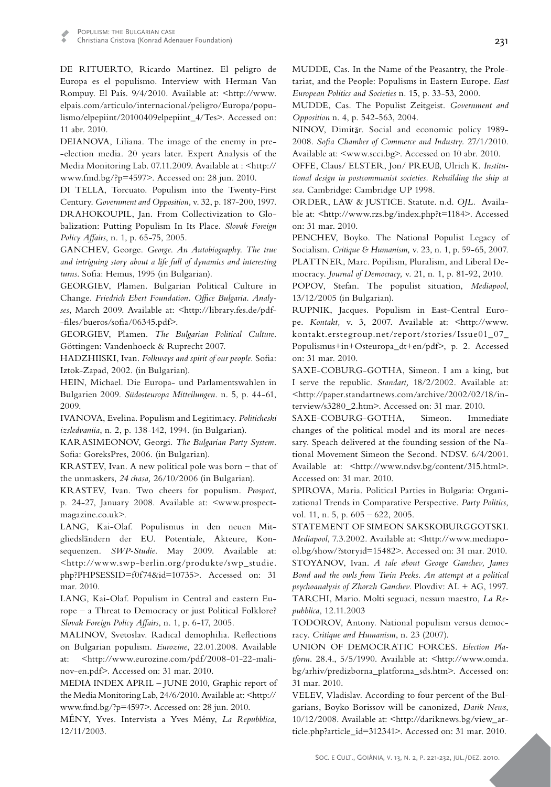DE RITUERTO, Ricardo Martinez. El peligro de Europa es el populismo. Interview with Herman Van Rompuy. El País. 9/4/2010. Available at: <http://www. elpais.com/articulo/internacional/peligro/Europa/populismo/elpepiint/20100409elpepiint\_4/Tes>. Accessed on: 11 abr. 2010.

DEIANOVA, Liliana. The image of the enemy in pre--election media. 20 years later. Expert Analysis of the Media Monitoring Lab. 07.11.2009. Available at : < http:// www.fmd.bg/?p=4597>. Accessed on: 28 jun. 2010.

DI TELLA, Torcuato. Populism into the Twenty-First Century. *Government and Opposition,* v. 32, p. 187-200, 1997. DRAHOKOUPIL, Jan. From Collectivization to Globalization: Putting Populism In Its Place. *Slovak Foreign Policy Affairs*, n. 1, p. 65-75, 2005.

Ganchev, George. *George*. *An Autobiography*. *The true and intriguing story about a life full of dynamics and interesting turns*. Sofia: Hemus, 1995 (in Bulgarian).

GEORGIEV, Plamen. Bulgarian Political Culture in Change. *Friedrich Ebert Foundation. Office Bulgaria. Analyses*, March 2009. Available at: <http://library.fes.de/pdf- -files/bueros/sofia/06345.pdf>.

GEORGIEV, Plamen. The Bulgarian Political Culture. Göttingen: Vandenhoeck & Ruprecht 2007.

HADZHIISKI, Ivan. Folkways and spirit of our people. Sofia: Iztok-Zapad, 2002. (in Bulgarian).

Hein, Michael. Die Europa- und Parlamentswahlen in Bulgarien 2009. *Südosteuropa Mitteilungen*. n. 5, p. 44-61, 2009.

Ivanova, Evelina. Populism and Legitimacy. *Politicheski izsledvaniia*, n. 2, p. 138-142, 1994. (in Bulgarian).

Karasimeonov, Georgi. *The Bulgarian Party System*. Sofia: GoreksPres, 2006. (in Bulgarian).

KRASTEV, Ivan. A new political pole was born – that of the unmaskers, *24 chasa,* 26/10/2006 (in Bulgarian).

Krastev, Ivan. Two cheers for populism. *Prospect*, p. 24-27, January 2008. Available at: <www.prospectmagazine.co.uk>.

Lang, Kai-Olaf. Populismus in den neuen Mitgliedsländern der EU. Potentiale, Akteure, Konsequenzen. *SWP-Studie*. May 2009. Available at: <http://www.swp-berlin.org/produkte/swp\_studie. php?PHPSESSID=f0f74&id=10735>. Accessed on: 31 mar. 2010.

LANG, Kai-Olaf. Populism in Central and eastern Europe – a Threat to Democracy or just Political Folklore? *Slovak Foreign Policy Affairs*, n. 1, p. 6-17, 2005.

Malinov, Svetoslav. Radical demophilia. Reflections on Bulgarian populism. *Eurozine*, 22.01.2008. Available at: <http://www.eurozine.com/pdf/2008-01-22-malinov-en.pdf>. Accessed on: 31 mar. 2010.

MEDIA INDEX APRIL - JUNE 2010, Graphic report of the Media Monitoring Lab, 24/6/2010. Available at: <http:// www.fmd.bg/?p=4597>. Accessed on: 28 jun. 2010.

Mény, Yves. Intervista a Yves Mény, *La Repubblica*, 12/11/2003.

MUDDE, Cas. In the Name of the Peasantry, the Proletariat, and the People: Populisms in Eastern Europe. *East European Politics and Societies* n. 15, p. 33-53, 2000.

Mudde, Cas. The Populist Zeitgeist. *Government and Opposition* n. 4, p. 542-563, 2004.

NINOV, Dimităr. Social and economic policy 1989-2008. *Sofia Chamber of Commerce and Industry.* 27/1/2010. Available at: <www.scci.bg>. Accessed on 10 abr. 2010.

OFFE, Claus/ ELSTER, Jon/ PREUß, Ulrich K. Institu*tional design in postcommunist societies. Rebuilding the ship at sea*. Cambridge: Cambridge UP 1998.

ORDER, LAW & JUSTICE. Statute. n.d. OJL. Available at: <http://www.rzs.bg/index.php?t=1184>. Accessed on: 31 mar. 2010.

PENCHEV, Boyko. The National Populist Legacy of Socialism. *Critique & Humanism,* v. 23, n. 1, p. 59-65, 2007. PLATTNER, Marc. Popilism, Pluralism, and Liberal Democracy. *Journal of Democracy,* v. 21, n. 1, p. 81-92, 2010.

Popov, Stefan. The populist situation, *Mediapool*, 13/12/2005 (in Bulgarian).

Rupnik, Jacques. Populism in East-Central Europe. *Kontakt,* v. 3, 2007. Available at: <http://www. kontakt.erstegroup.net/report/stories/Issue01\_07\_ Populismus+in+Osteuropa\_dt+en/pdf>, p. 2. Accessed on: 31 mar. 2010.

SAXE-COBURG-GOTHA, Simeon. I am a king, but I serve the republic. *Standart,* 18/2/2002. Available at: <http://paper.standartnews.com/archive/2002/02/18/interview/s3280\_2.htm>. Accessed on: 31 mar. 2010.

SAXE-COBURG-GOTHA, Simeon. Immediate changes of the political model and its moral are necessary. Speach delivered at the founding session of the National Movement Simeon the Second. NDSV. 6/4/2001. Available at: <http://www.ndsv.bg/content/315.html>. Accessed on: 31 mar. 2010.

SPIROVA, Maria. Political Parties in Bulgaria: Organizational Trends in Comparative Perspective. *Party Politics*, vol. 11, n. 5, p. 605 – 622, 2005.

Statement of Simeon Sakskoburggotski. *Mediapool*, 7.3.2002. Available at: <http://www.mediapool.bg/show/?storyid=15482>. Accessed on: 31 mar. 2010. STOYANOV, Ivan. *A tale about George Ganchev*, James *Bond and the owls from Twin Peeks. An attempt at a political psychoanalysis of Zhorzh Ganchev*. Plovdiv: AL + AG, 1997. TARCHI, Mario. Molti seguaci, nessun maestro, La Re*pubblica*, 12.11.2003

TODOROV, Antony. National populism versus democracy. *Critique and Humanism*, n. 23 (2007).

Union of Democratic Forces. *Election Platform*. 28.4., 5/5/1990. Available at: <http://www.omda. bg/arhiv/predizborna\_platforma\_sds.htm>. Accessed on: 31 mar. 2010.

VELEV, Vladislav. According to four percent of the Bulgarians, Boyko Borissov will be canonized, *Darik News*, 10/12/2008. Available at: <http://dariknews.bg/view\_article.php?article\_id=312341>. Accessed on: 31 mar. 2010.